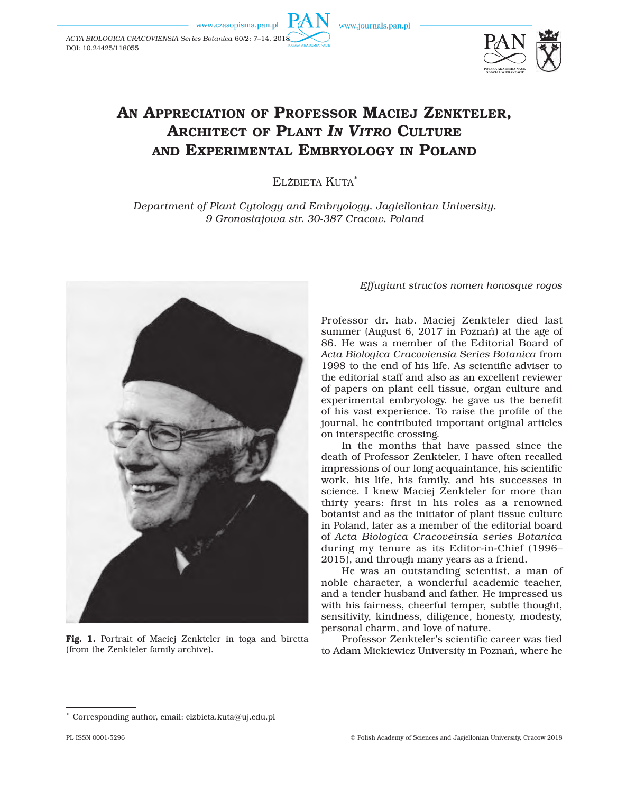DOI: 10.24425/118055

www.journals.pan.pl



## AN APPRECIATION OF PROFESSOR MACIEJ ZENKTELER. ARCHITECT OF PLANT *IN VITRO* CULTURE AND EXPERIMENTAL EMBRYOLOGY IN POLAND

ELŻBIETA KUTA\*

*Department of Plant Cytology and Embryology, Jagiellonian University, 9 Gronostajowa str. 30-387 Cracow, Poland*



Fig. 1. Portrait of Maciej Zenkteler in toga and biretta (from the Zenkteler family archive).

## *Effugiunt structos nomen honosque rogos*

Professor dr. hab. Maciej Zenkteler died last summer (August 6, 2017 in Poznań) at the age of 86. He was a member of the Editorial Board of *Acta Biologica Cracoviensia Series Botanica* from 1998 to the end of his life. As scientific adviser to the editorial staff and also as an excellent reviewer of papers on plant cell tissue, organ culture and experimental embryology, he gave us the benefit of his vast experience. To raise the profile of the journal, he contributed important original articles on interspecific crossing.

In the months that have passed since the death of Professor Zenkteler, I have often recalled impressions of our long acquaintance, his scientific work, his life, his family, and his successes in science. I knew Maciej Zenkteler for more than thirty years: first in his roles as a renowned botanist and as the initiator of plant tissue culture in Poland, later as a member of the editorial board of *Acta Biologica Cracoveinsia series Botanica* during my tenure as its Editor-in-Chief (1996– 2015), and through many years as a friend.

He was an outstanding scientist, a man of noble character, a wonderful academic teacher, and a tender husband and father. He impressed us with his fairness, cheerful temper, subtle thought, sensitivity, kindness, diligence, honesty, modesty, personal charm, and love of nature.

Professor Zenkteler's scientific career was tied to Adam Mickiewicz University in Poznań, where he

Corresponding author, email: elzbieta.kuta@uj.edu.pl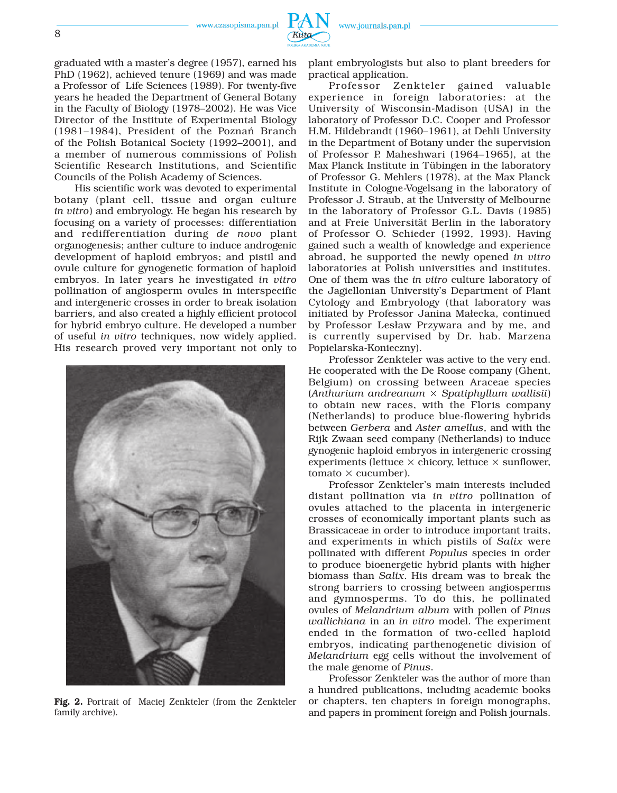www.czasopisma.pan.pl



graduated with a master's degree (1957), earned his PhD (1962), achieved tenure (1969) and was made a Professor of Life Sciences (1989). For twenty-five years he headed the Department of General Botany in the Faculty of Biology (1978–2002). He was Vice Director of the Institute of Experimental Biology (1981–1984), President of the Poznań Branch of the Polish Botanical Society (1992–2001), and a member of numerous commissions of Polish Scientific Research Institutions, and Scientific Councils of the Polish Academy of Sciences.

His scientific work was devoted to experimental botany (plant cell, tissue and organ culture *in vitro*) and embryology. He began his research by focusing on a variety of processes: differentiation and redifferentiation during *de novo* plant organogenesis; anther culture to induce androgenic development of haploid embryos; and pistil and ovule culture for gynogenetic formation of haploid embryos. In later years he investigated *in vitro* pollination of angiosperm ovules in interspecific and intergeneric crosses in order to break isolation barriers, and also created a highly efficient protocol for hybrid embryo culture. He developed a number of useful *in vitro* techniques, now widely applied. His research proved very important not only to



Fig. 2. Portrait of Maciej Zenkteler (from the Zenkteler family archive).

plant embryologists but also to plant breeders for practical application.

www.journals.pan.pl

Professor Zenkteler gained valuable experience in foreign laboratories: at the University of Wisconsin-Madison (USA) in the laboratory of Professor D.C. Cooper and Professor H.M. Hildebrandt (1960–1961), at Dehli University in the Department of Botany under the supervision of Professor P. Maheshwari (1964–1965), at the Max Planck Institute in Tübingen in the laboratory of Professor G. Mehlers (1978), at the Max Planck Institute in Cologne-Vogelsang in the laboratory of Professor J. Straub, at the University of Melbourne in the laboratory of Professor G.L. Davis (1985) and at Freie Universität Berlin in the laboratory of Professor O. Schieder (1992, 1993). Having gained such a wealth of knowledge and experience abroad, he supported the newly opened *in vitro* laboratories at Polish universities and institutes. One of them was the *in vitro* culture laboratory of the Jagiellonian University's Department of Plant Cytology and Embryology (that laboratory was initiated by Professor Janina Małecka, continued by Professor Lesław Przywara and by me, and is currently supervised by Dr. hab. Marzena Popielarska-Konieczny).

Professor Zenkteler was active to the very end. He cooperated with the De Roose company (Ghent, Belgium) on crossing between Araceae species (*Anthurium andreanum* × *Spatiphyllum wallisii*) to obtain new races, with the Floris company (Netherlands) to produce blue-flowering hybrids between *Gerbera* and *Aster amellus*, and with the Rijk Zwaan seed company (Netherlands) to induce gynogenic haploid embryos in intergeneric crossing experiments (lettuce  $\times$  chicory, lettuce  $\times$  sunflower,  $tomato \times cucumber$ ).

Professor Zenkteler's main interests included distant pollination via *in vitro* pollination of ovules attached to the placenta in intergeneric crosses of economically important plants such as Brassicaceae in order to introduce important traits, and experiments in which pistils of *Salix* were pollinated with different *Populus* species in order to produce bioenergetic hybrid plants with higher biomass than *Salix*. His dream was to break the strong barriers to crossing between angiosperms and gymnosperms. To do this, he pollinated ovules of *Melandrium album* with pollen of *Pinus wallichiana* in an *in vitro* model. The experiment ended in the formation of two-celled haploid embryos, indicating parthenogenetic division of *Melandrium* egg cells without the involvement of the male genome of *Pinus*.

Professor Zenkteler was the author of more than a hundred publications, including academic books or chapters, ten chapters in foreign monographs, and papers in prominent foreign and Polish journals.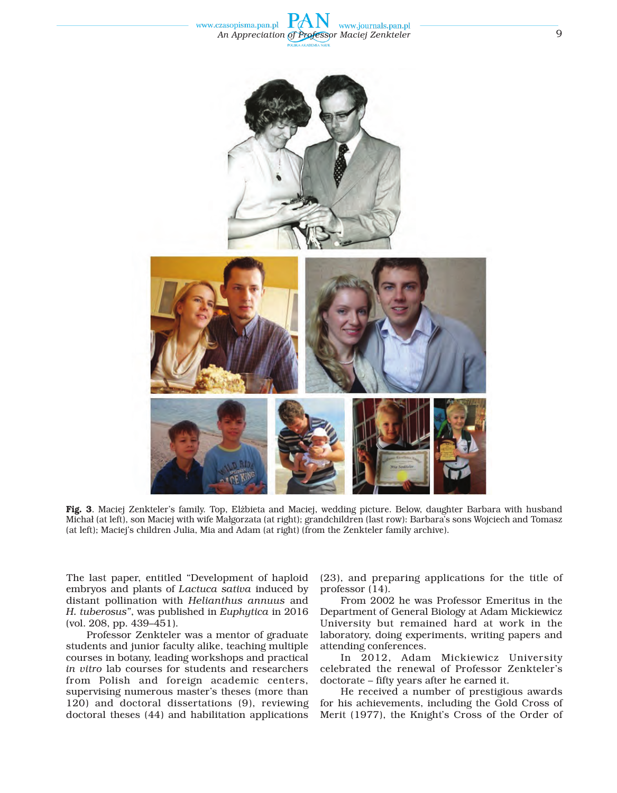



Fig. 3. Maciej Zenkteler's family. Top, Elżbieta and Maciej, wedding picture. Below, daughter Barbara with husband Michał (at left), son Maciej with wife Małgorzata (at right); grandchildren (last row): Barbara's sons Wojciech and Tomasz (at left); Maciej's children Julia, Mia and Adam (at right) (from the Zenkteler family archive).

The last paper, entitled "Development of haploid embryos and plants of *Lactuca sativa* induced by distant pollination with *Helianthus annuus* and *H. tuberosus"*, was published in *Euphytica* in 2016 (vol. 208, pp. 439–451).

Professor Zenkteler was a mentor of graduate students and junior faculty alike, teaching multiple courses in botany, leading workshops and practical *in vitro* lab courses for students and researchers from Polish and foreign academic centers, supervising numerous master's theses (more than 120) and doctoral dissertations (9), reviewing doctoral theses (44) and habilitation applications

(23), and preparing applications for the title of professor (14).

From 2002 he was Professor Emeritus in the Department of General Biology at Adam Mickiewicz University but remained hard at work in the laboratory, doing experiments, writing papers and attending conferences.

In 2012, Adam Mickiewicz University celebrated the renewal of Professor Zenkteler's doctorate – fifty years after he earned it.

He received a number of prestigious awards for his achievements, including the Gold Cross of Merit (1977), the Knight's Cross of the Order of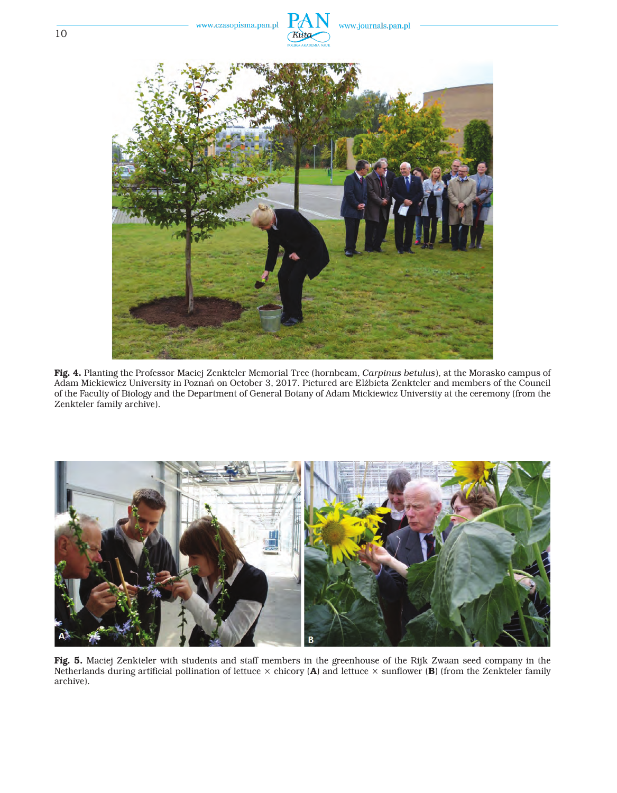

Fig. 4. Planting the Professor Maciej Zenkteler Memorial Tree (hornbeam, *Carpinus betulus*), at the Morasko campus of Adam Mickiewicz University in Poznań on October 3, 2017. Pictured are Elżbieta Zenkteler and members of the Council of the Faculty of Biology and the Department of General Botany of Adam Mickiewicz University at the ceremony (from the Zenkteler family archive).



Fig. 5. Maciej Zenkteler with students and staff members in the greenhouse of the Rijk Zwaan seed company in the Netherlands during artificial pollination of lettuce  $\times$  chicory (**A**) and lettuce  $\times$  sunflower (**B**) (from the Zenkteler family archive).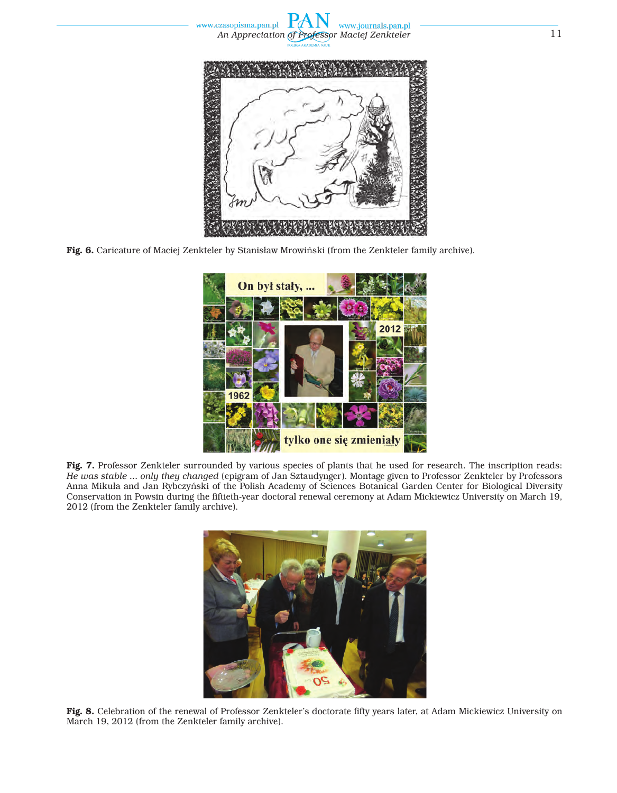



Fig. 6. Caricature of Maciej Zenkteler by Stanisław Mrowiński (from the Zenkteler family archive).



Fig. 7. Professor Zenkteler surrounded by various species of plants that he used for research. The inscription reads: *He was stable ... only they changed* (epigram of Jan Sztaudynger). Montage given to Professor Zenkteler by Professors Anna Mikuła and Jan Rybczyński of the Polish Academy of Sciences Botanical Garden Center for Biological Diversity Conservation in Powsin during the fiftieth-year doctoral renewal ceremony at Adam Mickiewicz University on March 19, 2012 (from the Zenkteler family archive).



Fig. 8. Celebration of the renewal of Professor Zenkteler's doctorate fifty years later, at Adam Mickiewicz University on March 19, 2012 (from the Zenkteler family archive).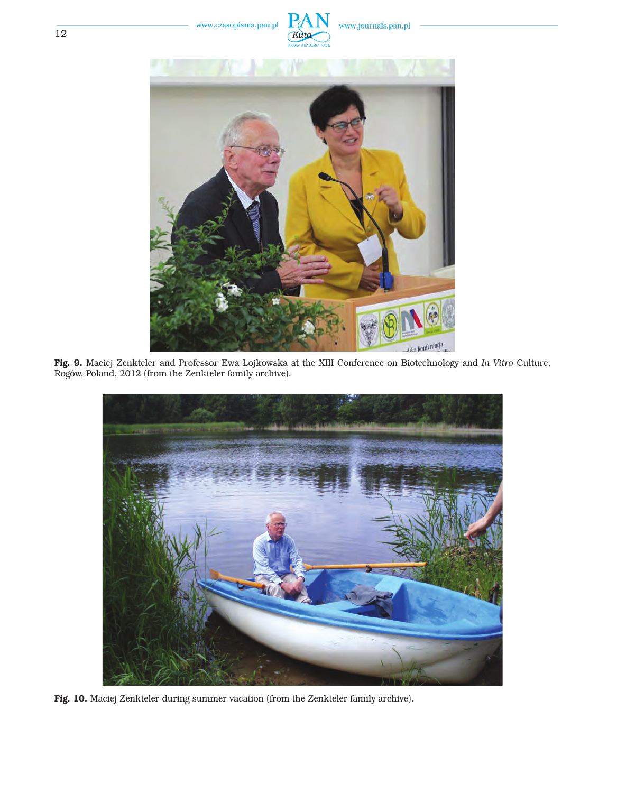



Fig. 9. Maciej Zenkteler and Professor Ewa Łojkowska at the XIII Conference on Biotechnology and *In Vitro* Culture, Rogów, Poland, 2012 (from the Zenkteler family archive).



Fig. 10. Maciej Zenkteler during summer vacation (from the Zenkteler family archive).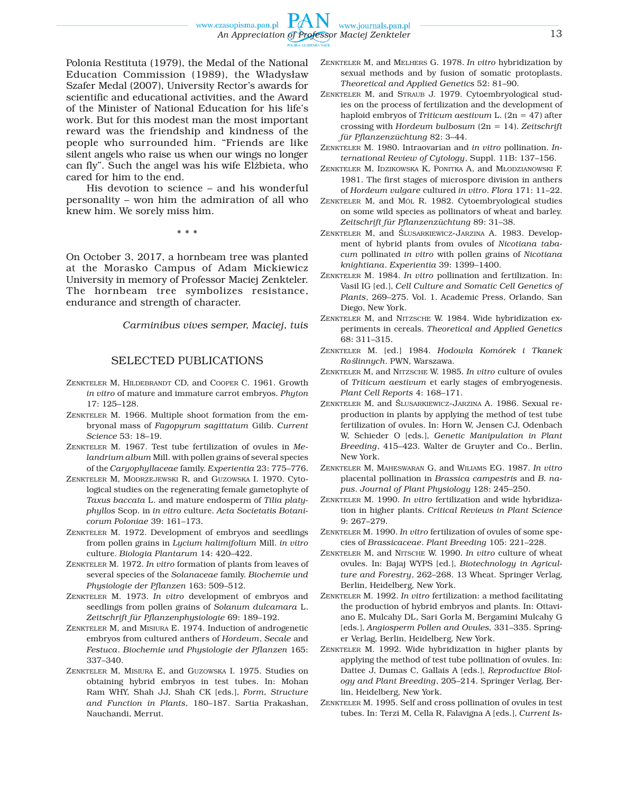Polonia Restituta (1979), the Medal of the National Education Commission (1989), the Władysław Szafer Medal (2007), University Rector's awards for scientific and educational activities, and the Award of the Minister of National Education for his life's work. But for this modest man the most important reward was the friendship and kindness of the people who surrounded him. "Friends are like silent angels who raise us when our wings no longer can fly". Such the angel was his wife Elżbieta, who cared for him to the end.

His devotion to science – and his wonderful personality – won him the admiration of all who knew him. We sorely miss him.

\* \* \*

On October 3, 2017, a hornbeam tree was planted at the Morasko Campus of Adam Mickiewicz University in memory of Professor Maciej Zenkteler. The hornbeam tree symbolizes resistance, endurance and strength of character.

*Carminibus vives semper, Maciej, tuis* 

## SELECTED PUBLICATIONS

- ZENKTELER M, HILDEBRANDT CD, and COOPER C. 1961. Growth *in vitro* of mature and immature carrot embryos. *Phyton*  17: 125–128.
- ZENKTELER M. 1966. Multiple shoot formation from the embryonal mass of *Fagopyrum sagittatum* Gilib. *Current Science* 53: 18–19.
- ZENKTELER M. 1967. Test tube fertilization of ovules in *Melandrium album* Mill. with pollen grains of several species of the *Caryophyllaceae* family. *Experientia* 23: 775–776.
- ZENKTELER M, MODRZEJEWSKI R, and GUZOWSKA I. 1970. Cytological studies on the regenerating female gametophyte of *Taxus baccata* L. and mature endosperm of *Tilia platyphyllos* Scop. in *in vitro* culture. *Acta Societatis Botanicorum Poloniae* 39: 161–173.
- ZENKTELER M. 1972. Development of embryos and seedlings from pollen grains in *Lycium halimifolium* Mill. *in vitro* culture. *Biologia Plantarum* 14: 420–422.
- ZENKTELER M. 1972. *In vitro* formation of plants from leaves of several species of the *Solanaceae* family. *Biochemie und Physiologie der Pflanzen* 163: 509–512.
- ZENKTELER M. 1973. *In vitro* development of embryos and seedlings from pollen grains of *Solanum dulcamara* L. *Zeitschrift für Pflanzenphysiologie* 69: 189–192.
- ZENKTELER M, and MISIURA E. 1974. Induction of androgenetic embryos from cultured anthers of *Hordeum*, *Secale* and *Festuca*. *Biochemie und Physiologie der Pflanzen* 165: 337–340.
- ZENKTELER M, MISIURA E, and GUZOWSKA I. 1975. Studies on obtaining hybrid embryos in test tubes. In: Mohan Ram WHY, Shah JJ, Shah CK [eds.], *Form, Structure and Function in Plants*, 180–187. Sartia Prakashan, Nauchandi, Merrut.
- ZENKTELER M, and MELHERS G. 1978. *In vitro* hybridization by sexual methods and by fusion of somatic protoplasts. *Theoretical and Applied Genetics* 52: 81–90.
- ZENKTELER M, and STRAUB J. 1979. Cytoembryological studies on the process of fertilization and the development of haploid embryos of *Triticum aestivum* L. (2n = 47) after crossing with *Hordeum bulbosum* (2n = 14). *Zeitschrift für Pflanzenzüchtung* 82: 3–44.
- ZENKTELER M. 1980. Intraovarian and *in vitro* pollination. *International Review of Cytology*, Suppl. 11B: 137–156.
- ZENKTELER M, IDZIKOWSKA K, PONITKA A, and MŁODZIANOWSKI F. 1981. The first stages of microspore division in anthers of *Hordeum vulgare* cultured *in vitro*. *Flora* 171: 11–22.
- ZENKTELER M, and MÓL R. 1982. Cytoembryological studies on some wild species as pollinators of wheat and barley. *Zeitschrift für Pflanzenzüchtung* 89: 31–38.
- ZENKTELER M, and ŚLUSARKIEWICZ-JARZINA A. 1983. Development of hybrid plants from ovules of *Nicotiana tabacum* pollinated *in vitro* with pollen grains of *Nicotiana knightiana*. *Experientia* 39: 1399–1400.
- ZENKTELER M. 1984. *In vitro* pollination and fertilization. In: Vasil IG [ed.], *Cell Culture and Somatic Cell Genetics of Plants*, 269–275. Vol. 1. Academic Press, Orlando, San Diego, New York.
- ZENKTELER M, and NITZSCHE W. 1984. Wide hybridization experiments in cereals. *Theoretical and Applied Genetics*  68: 311–315.
- ZENKTELER M. [ed.] 1984. *Hodowla Komórek i Tkanek Roślinnych*. PWN, Warszawa.
- ZENKTELER M, and NITZSCHE W. 1985. *In vitro* culture of ovules of *Triticum aestivum* et early stages of embryogenesis. *Plant Cell Reports* 4: 168–171.
- ZENKTELER M, and ŚLUSARKIEWICZ-JARZINA A. 1986. Sexual reproduction in plants by applying the method of test tube fertilization of ovules. In: Horn W, Jensen CJ, Odenbach W, Schieder O [eds.], *Genetic Manipulation in Plant Breeding*, 415–423. Walter de Gruyter and Co., Berlin, New York.
- ZENKTELER M, MAHESWARAN G, and WILIAMS EG. 1987. *In vitro* placental pollination in *Brassica campestris* and *B. napus*. *Journal of Plant Physiology* 128: 245–250.
- ZENKTELER M. 1990. *In vitro* fertilization and wide hybridization in higher plants. *Critical Reviews in Plant Science*  9: 267–279.
- ZENKTELER M. 1990. *In vitro* fertilization of ovules of some species of *Brassicaceae*. *Plant Breeding* 105: 221–228.
- ZENKTELER M, and NITSCHE W. 1990. *In vitro* culture of wheat ovules. In: Bajaj WYPS [ed.], *Biotechnology in Agriculture and Forestry*, 262–268. 13 Wheat. Springer Verlag, Berlin, Heidelberg, New York.
- ZENKTELER M. 1992. *In vitro* fertilization: a method facilitating the production of hybrid embryos and plants. In: Ottaviano E, Mulcahy DL, Sari Gorla M, Bergamini Mulcahy G [eds.], *Angiosperm Pollen and Ovules,* 331–335. Springer Verlag, Berlin, Heidelberg, New York.
- ZENKTELER M. 1992. Wide hybridization in higher plants by applying the method of test tube pollination of ovules. In: Dattee J, Dumas C, Gallais A [eds.], *Reproductive Biology and Plant Breeding*, 205–214. Springer Verlag, Berlin, Heidelberg, New York.
- ZENKTELER M. 1995. Self and cross pollination of ovules in test tubes. In: Terzi M, Cella R, Falavigna A [eds.], *Current Is-*